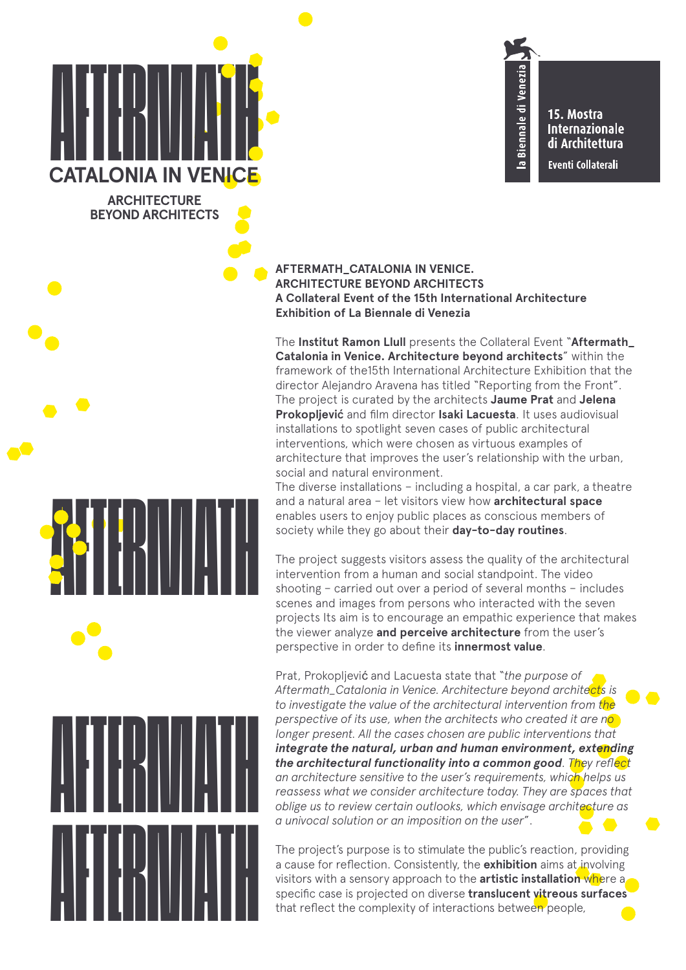# AFTERMATH **CATALONIA IN VENIC**

**ARCHITECTURE BEYOND ARCHITECTS**

AFTERMATH

**AFTERMATH** 

15. Mostra **Internazionale** di Architettura **Eventi Collaterali** 

Biennale di Venezia

 $\bullet$ 

## **AFTERMATH\_CATALONIA IN VENICE. ARCHITECTURE BEYOND ARCHITECTS A Collateral Event of the 15th International Architecture Exhibition of La Biennale di Venezia**

The **Institut Ramon Llull** presents the Collateral Event "**Aftermath\_ Catalonia in Venice. Architecture beyond architects**" within the framework of the15th International Architecture Exhibition that the director Alejandro Aravena has titled "Reporting from the Front". The project is curated by the architects **Jaume Prat** and **Jelena Prokopljevi**ć and film director **Isaki Lacuesta**. It uses audiovisual installations to spotlight seven cases of public architectural interventions, which were chosen as virtuous examples of architecture that improves the user's relationship with the urban, social and natural environment.

The diverse installations – including a hospital, a car park, a theatre and a natural area – let visitors view how **architectural space** enables users to enjoy public places as conscious members of society while they go about their **day-to-day routines**.

The project suggests visitors assess the quality of the architectural intervention from a human and social standpoint. The video shooting – carried out over a period of several months – includes scenes and images from persons who interacted with the seven projects Its aim is to encourage an empathic experience that makes the viewer analyze **and perceive architecture** from the user's perspective in order to define its **innermost value**.

Prat, Prokopljević and Lacuesta state that "*the purpose of Aftermath\_Catalonia in Venice. Architecture beyond architects is to investigate the value of the architectural intervention from the perspective of its use, when the architects who created it are no longer present. All the cases chosen are public interventions that integrate the natural, urban and human environment, extending the architectural functionality into a common good. They reflect an architecture sensitive to the user's requirements, which helps us reassess what we consider architecture today. They are spaces that oblige us to review certain outlooks, which envisage architecture as a univocal solution or an imposition on the user*".

The project's purpose is to stimulate the public's reaction, providing a cause for reflection. Consistently, the **exhibition** aims at involving visitors with a sensory approach to the **artistic installation** where a specific case is projected on diverse translucent vitreous surfaces<br>that reflect the complexity of interactions between people,<br>a cause for the complexity of interactions between people,<br>that reflect the complexity of inte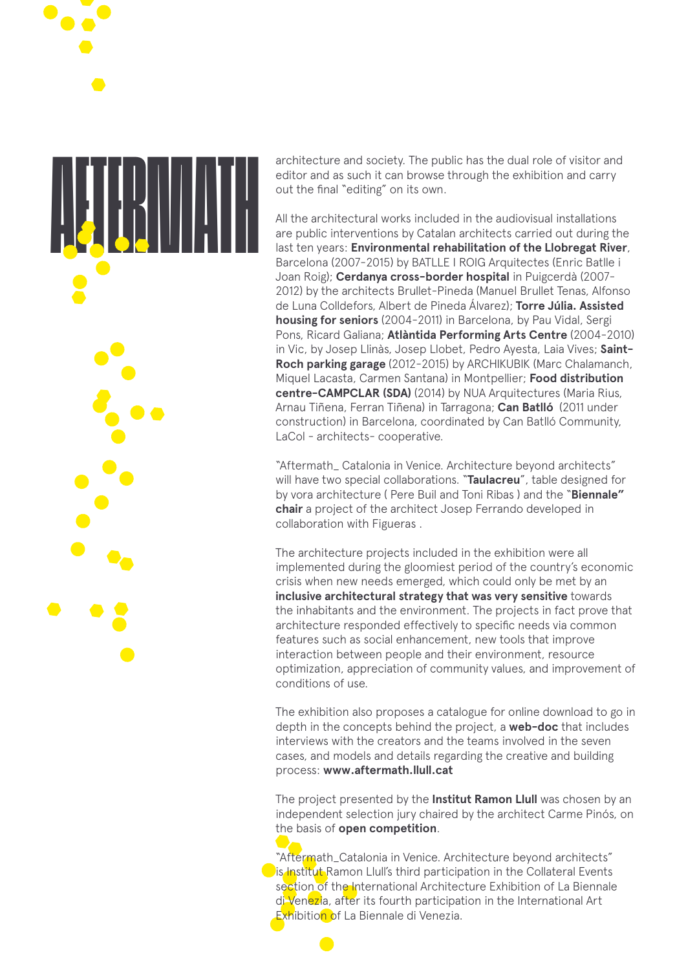architecture and society. The public has the dual role of visitor and<br>editor and as such it can browse through the exhibition and carry<br>out the final "editing" on its own.<br>All the architectural works included in the audiov

editor and as such it can browse through the exhibition and carry out the final "editing" on its own.

All the architectural works included in the audiovisual installations are public interventions by Catalan architects carried out during the last ten years: **Environmental rehabilitation of the Llobregat River**, Barcelona (2007-2015) by BATLLE I ROIG Arquitectes (Enric Batlle i Joan Roig); **Cerdanya cross-border hospital** in Puigcerdà (2007- 2012) by the architects Brullet-Pineda (Manuel Brullet Tenas, Alfonso de Luna Colldefors, Albert de Pineda Álvarez); **Torre Júlia. Assisted housing for seniors** (2004-2011) in Barcelona, by Pau Vidal, Sergi Pons, Ricard Galiana; **Atlàntida Performing Arts Centre** (2004-2010) in Vic, by Josep Llinàs, Josep Llobet, Pedro Ayesta, Laia Vives; **Saint-Roch parking garage** (2012-2015) by ARCHIKUBIK (Marc Chalamanch, Miquel Lacasta, Carmen Santana) in Montpellier; **Food distribution centre-CAMPCLAR (SDA)** (2014) by NUA Arquitectures (Maria Rius, Arnau Tiñena, Ferran Tiñena) in Tarragona; **Can Batlló** (2011 under construction) in Barcelona, coordinated by Can Batlló Community, LaCol - architects- cooperative.

"Aftermath\_ Catalonia in Venice. Architecture beyond architects" will have two special collaborations. "**Taulacreu**", table designed for by vora architecture ( Pere Buil and Toni Ribas ) and the "**Biennale" chair** a project of the architect Josep Ferrando developed in collaboration with Figueras .

The architecture projects included in the exhibition were all implemented during the gloomiest period of the country's economic crisis when new needs emerged, which could only be met by an **inclusive architectural strategy that was very sensitive** towards the inhabitants and the environment. The projects in fact prove that architecture responded effectively to specific needs via common features such as social enhancement, new tools that improve interaction between people and their environment, resource optimization, appreciation of community values, and improvement of conditions of use.

The exhibition also proposes a catalogue for online download to go in depth in the concepts behind the project, a **web-doc** that includes interviews with the creators and the teams involved in the seven cases, and models and details regarding the creative and building process: **www.aftermath.llull.cat**

The project presented by the **Institut Ramon Llull** was chosen by an independent selection jury chaired by the architect Carme Pinós, on the basis of **open competition**.

"Aftermath\_Catalonia in Venice. Architecture beyond architects"  $\bigcirc$  is Institut Ramon Llull's third participation in the Collateral Events section of the International Architecture Exhibition of La Biennale di Venezia, after its fourth participation in the International Art Exhibition of La Biennale di Venezia.